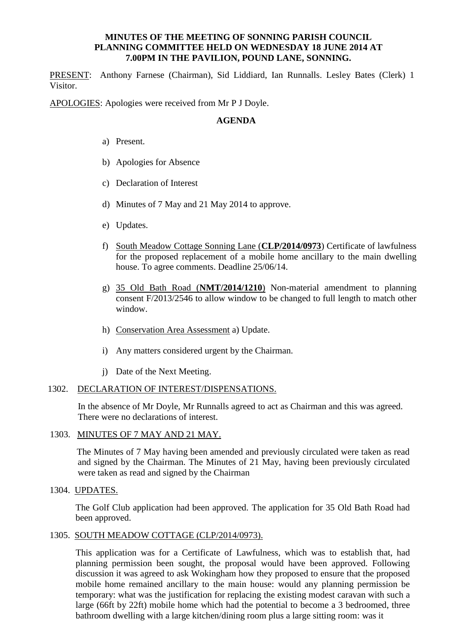# **MINUTES OF THE MEETING OF SONNING PARISH COUNCIL PLANNING COMMITTEE HELD ON WEDNESDAY 18 JUNE 2014 AT 7.00PM IN THE PAVILION, POUND LANE, SONNING.**

PRESENT: Anthony Farnese (Chairman), Sid Liddiard, Ian Runnalls. Lesley Bates (Clerk) 1 Visitor.

APOLOGIES: Apologies were received from Mr P J Doyle.

# **AGENDA**

- a) Present.
- b) Apologies for Absence
- c) Declaration of Interest
- d) Minutes of 7 May and 21 May 2014 to approve.
- e) Updates.
- f) South Meadow Cottage Sonning Lane (**CLP/2014/0973**) Certificate of lawfulness for the proposed replacement of a mobile home ancillary to the main dwelling house. To agree comments. Deadline 25/06/14.
- g) 35 Old Bath Road (**NMT/2014/1210**) Non-material amendment to planning consent F/2013/2546 to allow window to be changed to full length to match other window.
- h) Conservation Area Assessment a) Update.
- i) Any matters considered urgent by the Chairman.
- j) Date of the Next Meeting.

## 1302. DECLARATION OF INTEREST/DISPENSATIONS.

In the absence of Mr Doyle, Mr Runnalls agreed to act as Chairman and this was agreed. There were no declarations of interest.

# 1303. MINUTES OF 7 MAY AND 21 MAY.

 The Minutes of 7 May having been amended and previously circulated were taken as read and signed by the Chairman. The Minutes of 21 May, having been previously circulated were taken as read and signed by the Chairman

1304. UPDATES.

The Golf Club application had been approved. The application for 35 Old Bath Road had been approved.

## 1305. SOUTH MEADOW COTTAGE (CLP/2014/0973).

This application was for a Certificate of Lawfulness, which was to establish that, had planning permission been sought, the proposal would have been approved. Following discussion it was agreed to ask Wokingham how they proposed to ensure that the proposed mobile home remained ancillary to the main house: would any planning permission be temporary: what was the justification for replacing the existing modest caravan with such a large (66ft by 22ft) mobile home which had the potential to become a 3 bedroomed, three bathroom dwelling with a large kitchen/dining room plus a large sitting room: was it